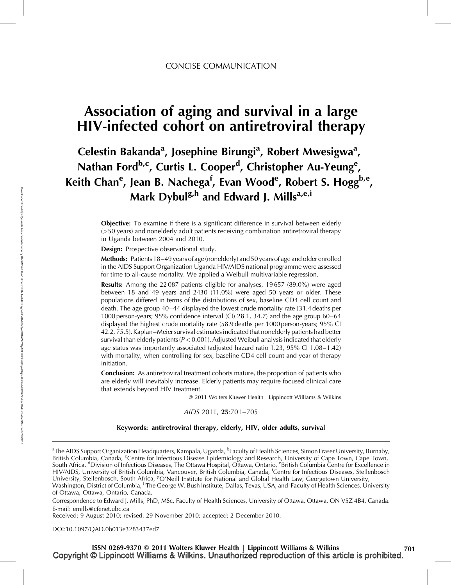# Association of aging and survival in a large HIV-infected cohort on antiretroviral therapy

Celestin Bakanda<sup>a</sup>, Josephine Birungi<sup>a</sup>, Robert Mwesigwa<sup>a</sup>, Nathan Ford<sup>b,c</sup>, Curtis L. Cooper<sup>d</sup>, Christopher Au-Yeung<sup>e</sup>, Keith Chan<sup>e</sup>, Jean B. Nachega<sup>f</sup>, Evan Wood<sup>e</sup>, Robert S. Hogg<sup>b,e</sup>, Mark Dybul<sup>g,h</sup> and Edward J. Mills<sup>a,e,i</sup>

> **Objective:** To examine if there is a significant difference in survival between elderly (>50 years) and nonelderly adult patients receiving combination antiretroviral therapy in Uganda between 2004 and 2010.

Design: Prospective observational study.

Methods: Patients 18–49 years of age (nonelderly) and 50 years of age and older enrolled in the AIDS Support Organization Uganda HIV/AIDS national programme were assessed for time to all-cause mortality. We applied a Weibull multivariable regression.

**Results:** Among the 22087 patients eligible for analyses, 19657 (89.0%) were aged between 18 and 49 years and 2430 (11.0%) were aged 50 years or older. These populations differed in terms of the distributions of sex, baseline CD4 cell count and death. The age group 40–44 displayed the lowest crude mortality rate [31.4 deaths per 1000 person-years; 95% confidence interval (CI) 28.1, 34.7) and the age group 60–64 displayed the highest crude mortality rate (58.9 deaths per 1000 person-years; 95% CI 42.2, 75.5). Kaplan–Meier survival estimates indicated that nonelderly patients had better survival than elderly patients ( $P < 0.001$ ). Adjusted Weibull analysis indicated that elderly age status was importantly associated (adjusted hazard ratio 1.23, 95% CI 1.08–1.42) with mortality, when controlling for sex, baseline CD4 cell count and year of therapy initiation.

**Conclusion:** As antiretroviral treatment cohorts mature, the proportion of patients who are elderly will inevitably increase. Elderly patients may require focused clinical care that extends beyond HIV treatment.

- 2011 Wolters Kluwer Health | Lippincott Williams & Wilkins

AIDS 2011, 25:701–705

### Keywords: antiretroviral therapy, elderly, HIV, older adults, survival

<sup>a</sup>The AIDS Support Organization Headquarters, Kampala, Uganda, <sup>b</sup>Faculty of Health Sciences, Simon Fraser University, Burnaby, British Columbia, Canada, <sup>c</sup>Centre for Infectious Disease Epidemiology and Research, University of Cape Town, Cape Town, South Africa, <sup>d</sup>Division of Infectious Diseases, The Ottawa Hospital, Ottawa, Ontario, <sup>e</sup>British Columbia Centre for Excellence in HIV/AIDS, University of British Columbia, Vancouver, British Columbia, Canada, <sup>f</sup> Centre for Infectious Diseases, Stellenbosch University, Stellenbosch, South Africa, <sup>g</sup>O'Neill Institute for National and Global Health Law, Georgetown University, Washington, District of Columbia, <sup>h</sup>The George W. Bush Institute, Dallas, Texas, USA, and <sup>i</sup>Faculty of Health Sciences, University

of Ottawa, Ottawa, Ontario, Canada.

Correspondence to Edward J. Mills, PhD, MSc, Faculty of Health Sciences, University of Ottawa, Ottawa, ON V5Z 4B4, Canada. E-mail: [emills@cfenet.ubc.ca](mailto:emills@cfenet.ubc.ca)

Received: 9 August 2010; revised: 29 November 2010; accepted: 2 December 2010.

DOI[:10.1097/QAD.0b013e3283437ed7](http://dx.doi.org/10.1097/QAD.0b013e3283437ed7)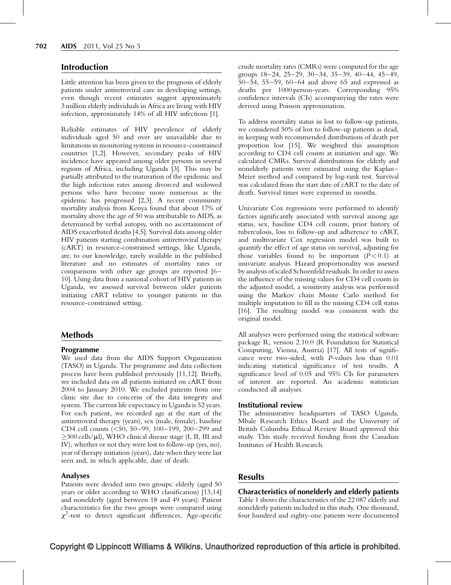# Introduction

Little attention has been given to the prognosis of elderly patients under antiretroviral care in developing settings, even though recent estimates suggest approximately 3 million elderly individuals in Africa are living with HIV infection, approximately 14% of all HIV infections [1].

Reliable estimates of HIV prevalence of elderly individuals aged 50 and over are unavailable due to limitations in monitoring systems in resource-constrained countries [1,2]. However, secondary peaks of HIV incidence have appeared among older persons in several regions of Africa, including Uganda [3]. This may be partially attributed to the maturation of the epidemic and the high infection rates among divorced and widowed persons who have become more numerous as the epidemic has progressed [2,3]. A recent community mortality analysis from Kenya found that about 17% of mortality above the age of 50 was attributable to AIDS, as determined by verbal autopsy, with no ascertainment of AIDS exacerbated deaths [4,5]. Survival data among older HIV patients starting combination antiretroviral therapy (cART) in resource-constrained settings, like Uganda, are, to our knowledge, rarely available in the published literature and no estimates of mortality rates or comparisons with other age groups are reported [6– 10]. Using data from a national cohort of HIV patients in Uganda, we assessed survival between older patients initiating cART relative to younger patients in this resource-constrained setting.

# Methods

#### Programme

We used data from the AIDS Support Organization (TASO) in Uganda. The programme and data collection process have been published previously [11,12]. Briefly, we included data on all patients initiated on cART from 2004 to January 2010. We excluded patients from one clinic site due to concerns of the data integrity and system. The current life expectancy in Uganda is 52 years. For each patient, we recorded age at the start of the antiretroviral therapy (years), sex (male, female), baseline CD4 cell counts (<50, 50–99, 100–199, 200–299 and ≥300 cells/µl), WHO clinical disease stage (I, II, III and IV), whether or not they were lost to follow-up (yes, no), year of therapy initiation (years), date when they were last seen and, in which applicable, date of death.

## Analyses

Patients were divided into two groups: elderly (aged 50 years or older according to WHO classification) [13,14] and nonelderly (aged between 18 and 49 years). Patient characteristics for the two groups were compared using  $\chi^2$ -test to detect significant differences. Age-specific

crude mortality rates (CMRs) were computed for the age groups 18–24, 25–29, 30–34, 35–39, 40–44, 45–49, 50–54, 55–59, 60–64 and above 65 and expressed as deaths per 1000 person-years. Corresponding 95% confidence intervals (CIs) accompanying the rates were derived using Poisson approximation.

To address mortality status in lost to follow-up patients, we considered 50% of lost to follow-up patients as dead, in keeping with recommended distributions of death per proportion lost [15]. We weighted this assumption according to CD4 cell counts at initiation and age. We calculated CMRs. Survival distributions for elderly and nonelderly patients were estimated using the Kaplan– Meier method and compared by log-rank test. Survival was calculated from the start date of cART to the date of death. Survival times were expressed in months.

Univariate Cox regressions were performed to identify factors significantly associated with survival among age status, sex, baseline CD4 cell counts, prior history of tuberculosis, loss to follow-up and adherence to cART, and multivariate Cox regression model was built to quantify the effect of age status on survival, adjusting for those variables found to be important  $(P < 0.1)$  at univariate analysis. Hazard proportionality was assessed by analysis of scaled Schoenfeld residuals. In order to assess the influence of the missing values for CD4 cell counts in the adjusted model, a sensitivity analysis was performed using the Markov chain Monte Carlo method for multiple imputation to fill in the missing CD4 cell status [16]. The resulting model was consistent with the original model.

All analyses were performed using the statistical software package R, version 2.10.0 (R Foundation for Statistical Computing, Vienna, Austria) [17]. All tests of significance were two-sided, with P-values less than 0.01 indicating statistical significance of test results. A significance level of 0.05 and 95% CIs for parameters of interest are reported. An academic statistician conducted all analyses.

#### Institutional review

The administrative headquarters of TASO Uganda, Mbale Research Ethics Board and the University of British Columbia Ethical Review Board approved this study. This study received funding from the Canadian Institutes of Health Research.

# **Results**

Characteristics of nonelderly and elderly patients Table 1 shows the characteristics of the 22 087 elderly and nonelderly patients included in this study. One thousand,

four hundred and eighty-one patients were documented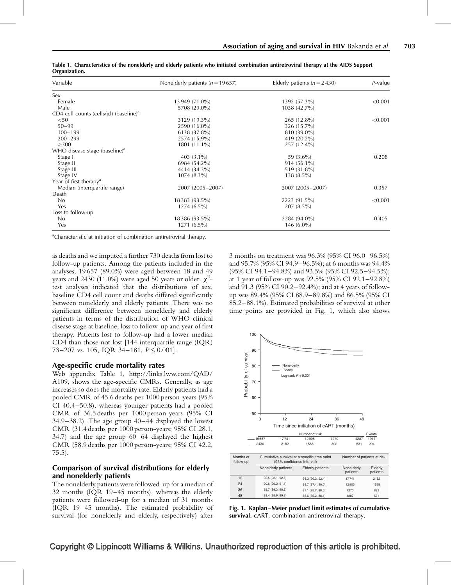| Variable                                                 | Nonelderly patients ( $n = 19657$ ) | Elderly patients ( $n = 2,430$ ) | $P$ -value |
|----------------------------------------------------------|-------------------------------------|----------------------------------|------------|
| Sex                                                      |                                     |                                  |            |
| Female                                                   | 13 949 (71.0%)                      | 1392 (57.3%)                     | < 0.001    |
| Male                                                     | 5708 (29.0%)                        | 1038 (42.7%)                     |            |
| CD4 cell counts (cells/ $\mu$ l) (baseline) <sup>a</sup> |                                     |                                  |            |
| $50$                                                     | 3129 (19.3%)                        | 265 (12.8%)                      | < 0.001    |
| $50 - 99$                                                | 2590 (16.0%)                        | 326 (15.7%)                      |            |
| $100 - 199$                                              | 6138 (37.8%)                        | 810 (39.0%)                      |            |
| $200 - 299$                                              | 2574 (15.9%)                        | 419 (20.2%)                      |            |
| >300                                                     | 1801 (11.1%)                        | 257 (12.4%)                      |            |
| WHO disease stage (baseline) <sup>a</sup>                |                                     |                                  |            |
| Stage I                                                  | 403 $(3.1\%)$                       | 59 (3.6%)                        | 0.208      |
| Stage II                                                 | 6984 (54.2%)                        | $914(56.1\%)$                    |            |
| Stage III                                                | 4414 (34.3%)                        | 519 (31.8%)                      |            |
| Stage IV                                                 | $1074(8.3\%)$                       | $138(8.5\%)$                     |            |
| Year of first therapy <sup>a</sup>                       |                                     |                                  |            |
| Median (interquartile range)                             | 2007 (2005-2007)                    | 2007 (2005-2007)                 | 0.357      |
| Death                                                    |                                     |                                  |            |
| No                                                       | 18383 (93.5%)                       | 2223 (91.5%)                     | < 0.001    |
| Yes                                                      | $1274(6.5\%)$                       | $207(8.5\%)$                     |            |
| Loss to follow-up                                        |                                     |                                  |            |
| No                                                       | 18386 (93.5%)                       | 2284 (94.0%)                     | 0.405      |
| Yes                                                      | $1271(6.5\%)$                       | 146 $(6.0\%)$                    |            |

Table 1. Characteristics of the nonelderly and elderly patients who initiated combination antiretroviral therapy at the AIDS Support Organization.

<sup>a</sup>Characteristic at initiation of combination antiretroviral therapy.

as deaths and we imputed a further 730 deaths from lost to follow-up patients. Among the patients included in the analyses, 19 657 (89.0%) were aged between 18 and 49 years and 2430 (11.0%) were aged 50 years or older.  $\chi^2$ test analyses indicated that the distributions of sex, baseline CD4 cell count and deaths differed significantly between nonelderly and elderly patients. There was no significant difference between nonelderly and elderly patients in terms of the distribution of WHO clinical disease stage at baseline, loss to follow-up and year of first therapy. Patients lost to follow-up had a lower median CD4 than those not lost [144 interquartile range (IQR) 73–207 vs. 105, IQR 34–181,  $P \le 0.001$ .

#### Age-specific crude mortality rates

Web appendix Table 1, [http://links.lww.com/QAD/](http://links.lww.com/QAD/A109) [A109](http://links.lww.com/QAD/A109), shows the age-specific CMRs. Generally, as age increases so does the mortality rate. Elderly patients had a pooled CMR of 45.6 deaths per 1000 person-years (95% CI 40.4–50.8), whereas younger patients had a pooled CMR of 36.5 deaths per 1000 person-years (95% CI 34.9–38.2). The age group 40–44 displayed the lowest CMR (31.4 deaths per 1000 person-years; 95% CI 28.1, 34.7) and the age group 60–64 displayed the highest CMR (58.9 deaths per 1000 person-years; 95% CI 42.2, 75.5).

## Comparison of survival distributions for elderly and nonelderly patients

The nonelderly patients were followed-up for a median of 32 months (IQR 19–45 months), whereas the elderly patients were followed-up for a median of 31 months (IQR 19–45 months). The estimated probability of survival (for nonelderly and elderly, respectively) after

3 months on treatment was 96.3% (95% CI 96.0–96.5%) and 95.7% (95% CI 94.9–96.5%); at 6 months was 94.4% (95% CI 94.1–94.8%) and 93.5% (95% CI 92.5–94.5%); at 1 year of follow-up was 92.5% (95% CI 92.1–92.8%) and 91.3 (95% CI 90.2–92.4%); and at 4 years of followup was 89.4% (95% CI 88.9–89.8%) and 86.5% (95% CI 85.2–88.1%). Estimated probabilities of survival at other time points are provided in Fig. 1, which also shows



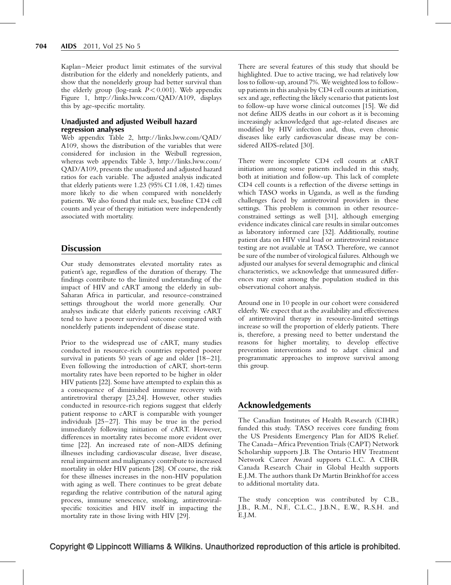Kaplan–Meier product limit estimates of the survival distribution for the elderly and nonelderly patients, and show that the nonelderly group had better survival than the elderly group (log-rank  $P < 0.001$ ). Web appendix Figure 1,<http://links.lww.com/QAD/A109>, displays this by age-specific mortality.

## Unadjusted and adjusted Weibull hazard regression analyses

Web appendix Table 2, [http://links.lww.com/QAD/](http://links.lww.com/QAD/A109) [A109](http://links.lww.com/QAD/A109), shows the distribution of the variables that were considered for inclusion in the Weibull regression, whereas web appendix Table 3, [http://links.lww.com/](http://links.lww.com/QAD/A109) [QAD/A109,](http://links.lww.com/QAD/A109) presents the unadjusted and adjusted hazard ratios for each variable. The adjusted analysis indicated that elderly patients were 1.23 (95% CI 1.08, 1.42) times more likely to die when compared with nonelderly patients. We also found that male sex, baseline CD4 cell counts and year of therapy initiation were independently associated with mortality.

# **Discussion**

Our study demonstrates elevated mortality rates as patient's age, regardless of the duration of therapy. The findings contribute to the limited understanding of the impact of HIV and cART among the elderly in sub-Saharan Africa in particular, and resource-constrained settings throughout the world more generally. Our analyses indicate that elderly patients receiving cART tend to have a poorer survival outcome compared with nonelderly patients independent of disease state.

Prior to the widespread use of cART, many studies conducted in resource-rich countries reported poorer survival in patients 50 years of age and older [18–21]. Even following the introduction of cART, short-term mortality rates have been reported to be higher in older HIV patients [22]. Some have attempted to explain this as a consequence of diminished immune recovery with antiretroviral therapy [23,24]. However, other studies conducted in resource-rich regions suggest that elderly patient response to cART is comparable with younger individuals [25–27]. This may be true in the period immediately following initiation of cART. However, differences in mortality rates become more evident over time [22]. An increased rate of non-AIDS defining illnesses including cardiovascular disease, liver disease, renal impairment and malignancy contribute to increased mortality in older HIV patients [28]. Of course, the risk for these illnesses increases in the non-HIV population with aging as well. There continues to be great debate regarding the relative contribution of the natural aging process, immune senescence, smoking, antiretroviralspecific toxicities and HIV itself in impacting the mortality rate in those living with HIV [29].

There are several features of this study that should be highlighted. Due to active tracing, we had relatively low loss to follow-up, around 7%. We weighted loss to followup patients in this analysis by CD4 cell counts at initiation, sex and age, reflecting the likely scenario that patients lost to follow-up have worse clinical outcomes [15]. We did not define AIDS deaths in our cohort as it is becoming increasingly acknowledged that age-related diseases are modified by HIV infection and, thus, even chronic diseases like early cardiovascular disease may be considered AIDS-related [30].

There were incomplete CD4 cell counts at cART initiation among some patients included in this study, both at initiation and follow-up. This lack of complete CD4 cell counts is a reflection of the diverse settings in which TASO works in Uganda, as well as the funding challenges faced by antiretroviral providers in these settings. This problem is common in other resourceconstrained settings as well [31], although emerging evidence indicates clinical care results in similar outcomes as laboratory informed care [32]. Additionally, routine patient data on HIV viral load or antiretroviral resistance testing are not available at TASO. Therefore, we cannot be sure of the number of virological failures. Although we adjusted our analyses for several demographic and clinical characteristics, we acknowledge that unmeasured differences may exist among the population studied in this observational cohort analysis.

Around one in 10 people in our cohort were considered elderly. We expect that as the availability and effectiveness of antiretroviral therapy in resource-limited settings increase so will the proportion of elderly patients. There is, therefore, a pressing need to better understand the reasons for higher mortality, to develop effective prevention interventions and to adapt clinical and programmatic approaches to improve survival among this group.

# Acknowledgements

The Canadian Institutes of Health Research (CIHR) funded this study. TASO receives core funding from the US Presidents Emergency Plan for AIDS Relief. The Canada–Africa Prevention Trials (CAPT) Network Scholarship supports J.B. The Ontario HIV Treatment Network Career Award supports C.L.C. A CIHR Canada Research Chair in Global Health supports E.J.M. The authors thank Dr Martin Brinkhof for access to additional mortality data.

The study conception was contributed by C.B., J.B., R.M., N.F., C.L.C., J.B.N., E.W., R.S.H. and E.J.M.